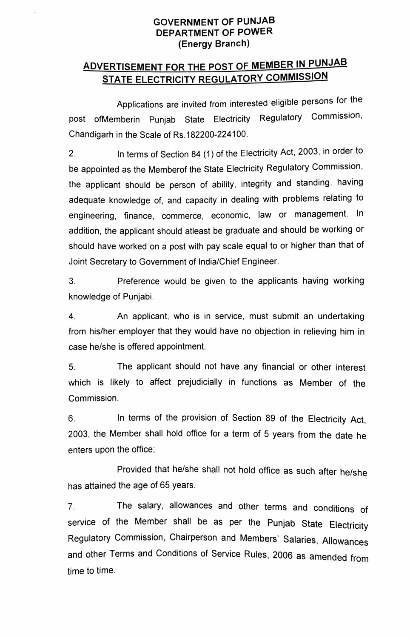## GOVERNMENT OF PUNJAB DEPARTMENT OF POWER (Energy Branch)

## ADVERTISEMENT FOR THE POST OF MEMBER IN PUNJAE STATE ELECTRICITY REGULATORY COMMISSION

Applications are invited from interested eligible persons for the post ofMemberin Punjab State Electricity Regulatory Commission, Chandigarh in the Scale of Rs.182200-224100

2. In terms of Section 84 (1) of the Electricity Act, 2003, in order to be appointed as the Memberof the State Electricity Regulatory Commission, the applicant should be person of ability, integrity and standing. having adequate knowledge of, and capacity in dealing with problems relating to engineering. finance, commerce, economic, law or management. In addition, the applicant should atleast be graduate and should be working or should have worked on a post with pay scale equal to or higher than that of Joint Secretary to Government of India/Chief Engineer.

3. Preference would be given to the applicants having working knowledge of Punjabi.

4. An applicant, who is in service, must submit an undertaking from his/her employer that they would have no objection in relieving him in case he/she is offered appointment.

. The applicant should not have any financial or other interest which is likely to affect prejudicially in functions as Member of the Commission.

6. In terms of the provision of Section 89 of the Electricity Act 2003, the Member shall hold office for a term of 5 years from the date he enters upon the office,

Provided that he/she shall not hold office as such after he/she has attained the age of 65 years.

7. The salary, allowances and other terms and conditions of service of the Member shall be as per the Punjab State Electricity Regulatory Commission, Chairperson and Members' Salaries, Allowances and other Terms and Conditions of Service Rules, 2006 as amended from time to time.